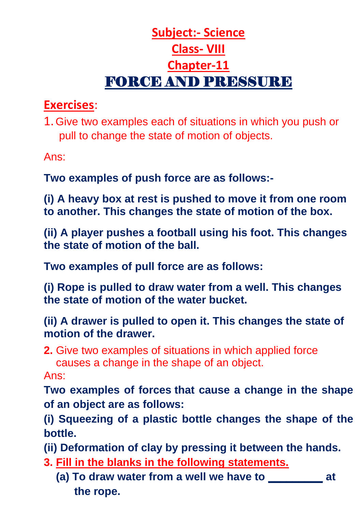## **Subject:- Science Class- VIII Chapter-11** FORCE AND PRESSURE

## **Exercises**:

1.Give two examples each of situations in which you push or pull to change the state of motion of objects.

Ans:

**Two examples of push force are as follows:-**

**(i) A heavy box at rest is pushed to move it from one room to another. This changes the state of motion of the box.**

**(ii) A player pushes a football using his foot. This changes the state of motion of the ball.**

**Two examples of pull force are as follows:**

**(i) Rope is pulled to draw water from a well. This changes the state of motion of the water bucket.**

**(ii) A drawer is pulled to open it. This changes the state of motion of the drawer.**

**2.** Give two examples of situations in which applied force causes a change in the shape of an object.

Ans:

**Two examples of forces that cause a change in the shape of an object are as follows:**

**(i) Squeezing of a plastic bottle changes the shape of the bottle.**

**(ii) Deformation of clay by pressing it between the hands.**

- **3. Fill in the blanks in the following statements.**
	- **(a) To draw water from a well we have to \_\_\_\_\_\_\_\_\_ at the rope.**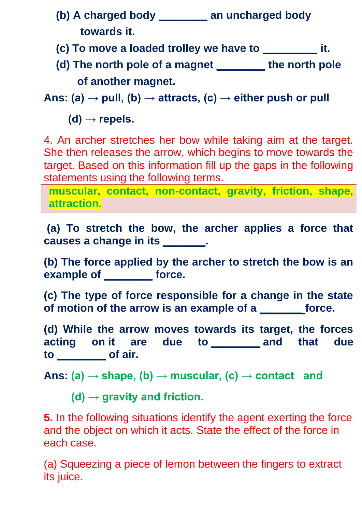- **(b) A charged body \_\_\_\_\_\_\_\_ an uncharged body towards it.**
- **(c) To move a loaded trolley we have to \_\_\_\_\_\_\_\_\_ it.**
- **(d) The north pole of a magnet \_\_\_\_\_\_\_\_ the north pole of another magnet.**

Ans: (a)  $\rightarrow$  pull, (b)  $\rightarrow$  attracts, (c)  $\rightarrow$  either push or pull

 $(d) \rightarrow$  repels.

4. An archer stretches her bow while taking aim at the target. She then releases the arrow, which begins to move towards the target. Based on this information fill up the gaps in the following statements using the following terms.

**muscular, contact, non-contact, gravity, friction, shape, attraction.**

**(a) To stretch the bow, the archer applies a force that causes a change in its \_\_\_\_\_\_\_.**

**(b) The force applied by the archer to stretch the bow is an example of \_\_\_\_\_\_\_\_ force.**

**(c) The type of force responsible for a change in the state of motion of the arrow is an example of a \_\_\_\_\_\_\_ force.**

**(d) While the arrow moves towards its target, the forces acting on it are due to \_\_\_\_\_\_\_\_ and that due to \_\_\_\_\_\_\_\_ of air.**

**Ans: (a) → shape, (b) → muscular, (c) → contact and**

 **(d) → gravity and friction.**

**5.** In the following situations identify the agent exerting the force and the object on which it acts. State the effect of the force in each case.

(a) Squeezing a piece of lemon between the fingers to extract its juice.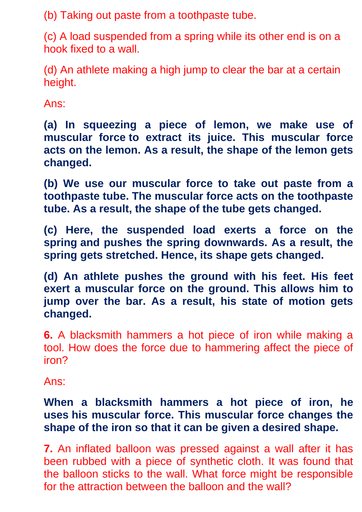(b) Taking out paste from a toothpaste tube.

(c) A load suspended from a spring while its other end is on a hook fixed to a wall.

(d) An athlete making a high jump to clear the bar at a certain height.

Ans:

**(a) In squeezing a piece of lemon, we make use of muscular force to extract its juice. This muscular force acts on the lemon. As a result, the shape of the lemon gets changed.**

**(b) We use our muscular force to take out paste from a toothpaste tube. The muscular force acts on the toothpaste tube. As a result, the shape of the tube gets changed.**

**(c) Here, the suspended load exerts a force on the spring and pushes the spring downwards. As a result, the spring gets stretched. Hence, its shape gets changed.**

**(d) An athlete pushes the ground with his feet. His feet exert a muscular force on the ground. This allows him to jump over the bar. As a result, his state of motion gets changed.**

**6.** A blacksmith hammers a hot piece of iron while making a tool. How does the force due to hammering affect the piece of iron?

Ans:

## **When a blacksmith hammers a hot piece of iron, he uses his muscular force. This muscular force changes the shape of the iron so that it can be given a desired shape.**

**7.** An inflated balloon was pressed against a wall after it has been rubbed with a piece of synthetic cloth. It was found that the balloon sticks to the wall. What force might be responsible for the attraction between the balloon and the wall?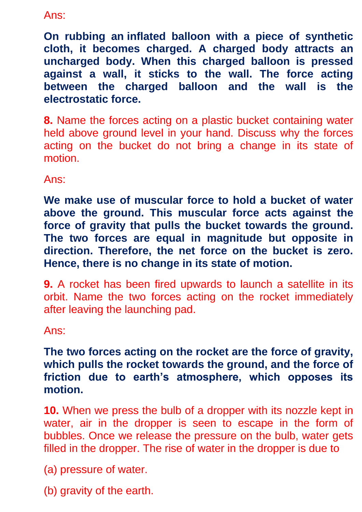Ans:

**On rubbing an inflated balloon with a piece of synthetic cloth, it becomes charged. A charged body attracts an uncharged body. When this charged balloon is pressed against a wall, it sticks to the wall. The force acting between the charged balloon and the wall is the electrostatic force.**

**8.** Name the forces acting on a plastic bucket containing water held above ground level in your hand. Discuss why the forces acting on the bucket do not bring a change in its state of motion.

Ans:

**We make use of muscular force to hold a bucket of water above the ground. This muscular force acts against the force of gravity that pulls the bucket towards the ground. The two forces are equal in magnitude but opposite in direction. Therefore, the net force on the bucket is zero. Hence, there is no change in its state of motion.**

**9.** A rocket has been fired upwards to launch a satellite in its orbit. Name the two forces acting on the rocket immediately after leaving the launching pad.

Ans:

**The two forces acting on the rocket are the force of gravity, which pulls the rocket towards the ground, and the force of friction due to earth's atmosphere, which opposes its motion.**

**10.** When we press the bulb of a dropper with its nozzle kept in water, air in the dropper is seen to escape in the form of bubbles. Once we release the pressure on the bulb, water gets filled in the dropper. The rise of water in the dropper is due to

(a) pressure of water.

(b) gravity of the earth.